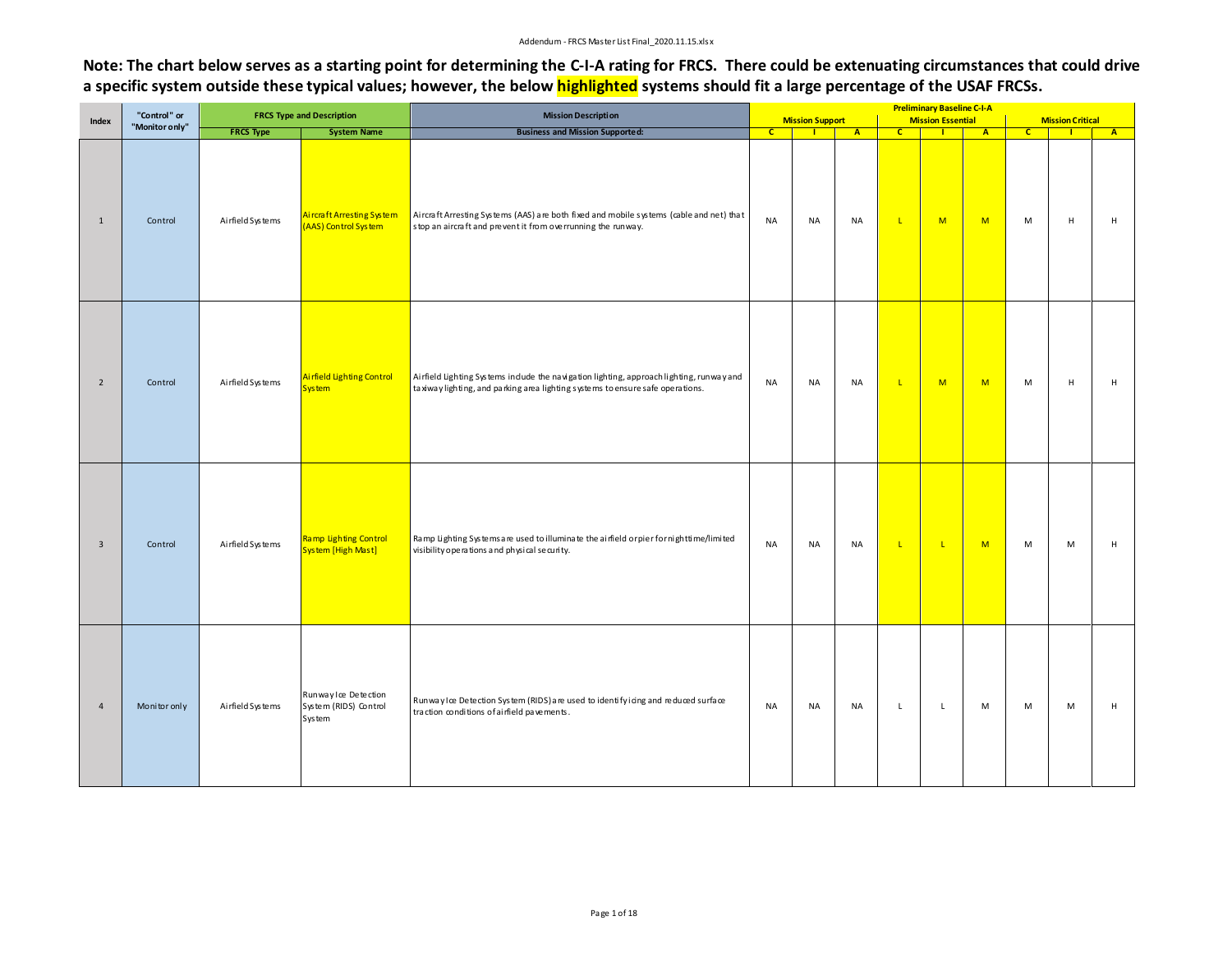## Addendum ‐ FRCS Master List Final\_2020.11.15.xlsx

**Note: The chart below serves as a starting point for determining the C-I-A rating for FRCS. There could be extenuating circumstances that could drive a specific system outside these typical values; however, the below highlighted systems should fit a large percentage of the USAF FRCSs.** 

|                | "Control" or   |                   | <b>FRCS Type and Description</b>                        | <b>Mission Description</b>                                                                                                                                                 |                |                               |                |              | <b>Preliminary Baseline C-I-A</b>          |                |              |                                |                |
|----------------|----------------|-------------------|---------------------------------------------------------|----------------------------------------------------------------------------------------------------------------------------------------------------------------------------|----------------|-------------------------------|----------------|--------------|--------------------------------------------|----------------|--------------|--------------------------------|----------------|
| Index          | "Monitor only" | <b>FRCS Type</b>  | <b>System Name</b>                                      | <b>Business and Mission Supported:</b>                                                                                                                                     | $\overline{c}$ | <b>Mission Support</b><br>- 1 | $\overline{A}$ | $\mathbf{C}$ | <b>Mission Essential</b><br>$\blacksquare$ | $\overline{A}$ | $\mathbf{C}$ | <b>Mission Critical</b><br>- 1 | $\overline{A}$ |
| $\mathbf{1}$   | Control        | Airfield Systems  | Aircraft Arresting System<br>(AAS) Control System       | Aircraft Arresting Systems (AAS) are both fixed and mobile systems (cable and net) that<br>stop an aircraft and prevent it from overrunning the runway.                    | <b>NA</b>      | NA                            | <b>NA</b>      | $\mathsf{L}$ | M                                          | M              | M            | $\mathsf H$                    | $\mathsf H$    |
| $\overline{2}$ | Control        | Ai rfield Systems | Airfield Lighting Control<br><b>System</b>              | Airfield Lighting Systems include the navigation lighting, approach lighting, runway and<br>taxiway lighting, and parking area lighting systems to ensure safe operations. | <b>NA</b>      | <b>NA</b>                     | <b>NA</b>      | $\mathsf{L}$ | M                                          | M              | M            | $\mathsf H$                    | $\mathsf H$    |
| $\overline{3}$ | Control        | Ai rfield Systems | <b>Ramp Lighting Control</b><br>System [High Mast]      | Ramp Lighting Systems are used to illuminate the airfield orpier fornighttime/limited<br>visibility operations and physical security.                                      | <b>NA</b>      | <b>NA</b>                     | <b>NA</b>      | $\mathsf{L}$ | $\mathbf{L}$                               | M              | M            | M                              | $\mathsf H$    |
| $\overline{4}$ | Monitor only   | Ai rfield Systems | Runway Ice Detection<br>System (RIDS) Control<br>System | Runway Ice Detection System (RIDS) are used to identify icing and reduced surface<br>traction conditions of airfield pavements.                                            | <b>NA</b>      | NA                            | <b>NA</b>      | $\mathsf{L}$ | $\mathsf{L}$                               | M              | M            | M                              | H              |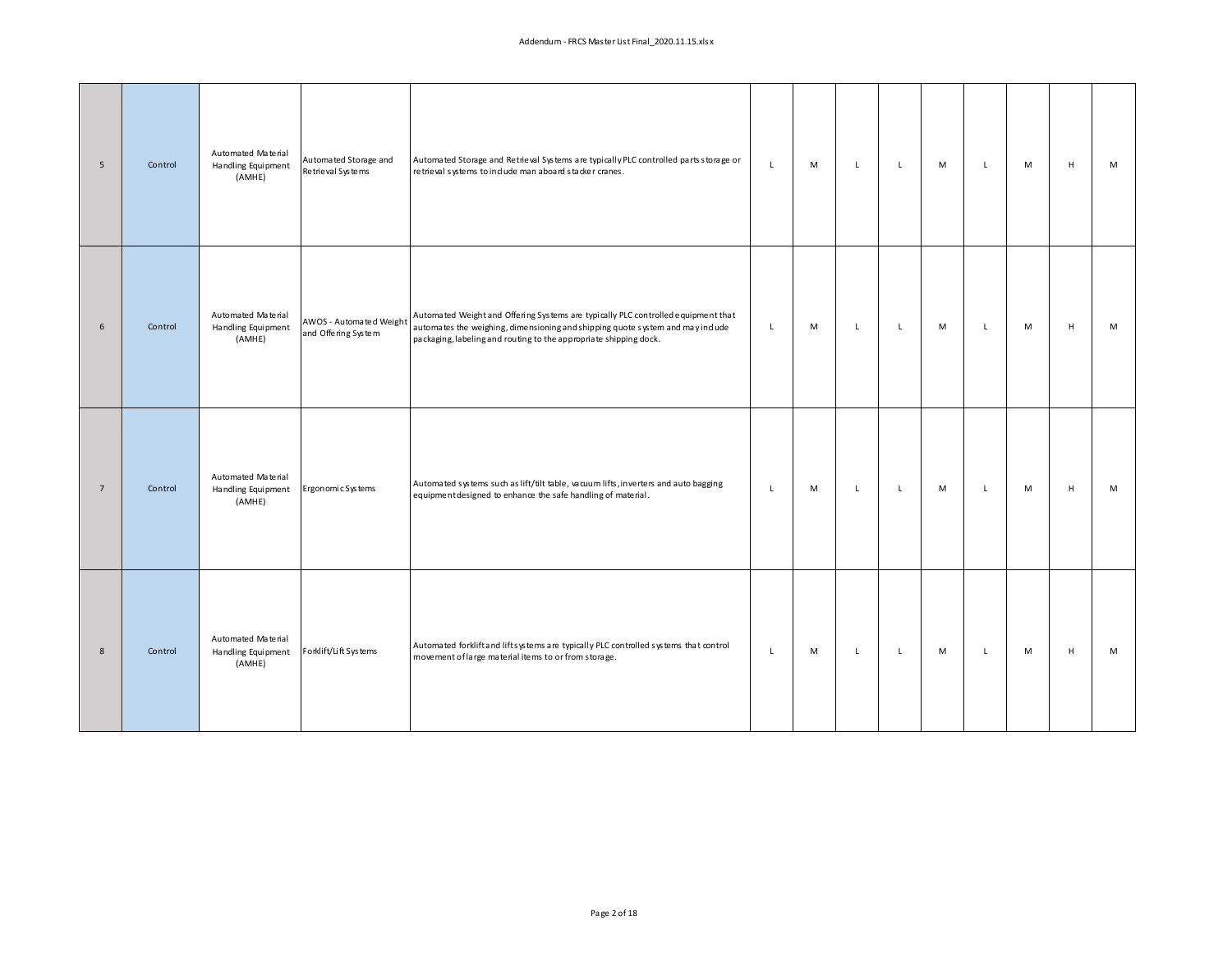| 5               | Control | Automated Material<br>Handling Equipment<br>(AMHE) | Automated Storage and<br>Retrieval Systems     | Automated Storage and Retrieval Systems are typically PLC controlled parts storage or<br>retrieval systems to indude man aboard stacker cranes.                                                                                         | L            | M | $\mathbf{L}$ | L           | M | L            | M | H           | M |
|-----------------|---------|----------------------------------------------------|------------------------------------------------|-----------------------------------------------------------------------------------------------------------------------------------------------------------------------------------------------------------------------------------------|--------------|---|--------------|-------------|---|--------------|---|-------------|---|
| 6               | Control | Automated Material<br>Handling Equipment<br>(AMHE) | AWOS - Automated Weight<br>and Offering System | Automated Weight and Offering Systems are typically PLC controlled equipment that<br>automates the weighing, dimensioning and shipping quote system and may indude<br>packaging, labeling and routing to the appropriate shipping dock. | L.           | M | $\mathsf{L}$ | $\mathsf L$ | M | $\mathsf{L}$ | M | H           | M |
| $7\overline{ }$ | Control | Automated Material<br>Handling Equipment<br>(AMHE) | Ergonomic Systems                              | Automated systems such as lift/tilt table, vacuum lifts, inverters and auto bagging<br>equipment designed to enhance the safe handling of material.                                                                                     | $\mathsf{L}$ | M | $\mathsf{L}$ | $\mathsf L$ | M | $\mathsf{L}$ | M | H           | M |
| 8               | Control | Automated Material<br>Handling Equipment<br>(AMHE) | Forklift/Lift Systems                          | Automated forklift and lifts ystems are typically PLC controlled systems that control<br>movement of large material items to or from storage.                                                                                           | L            | M | $\mathbf{L}$ | L           | M | $\mathsf{L}$ | M | $\mathsf H$ | M |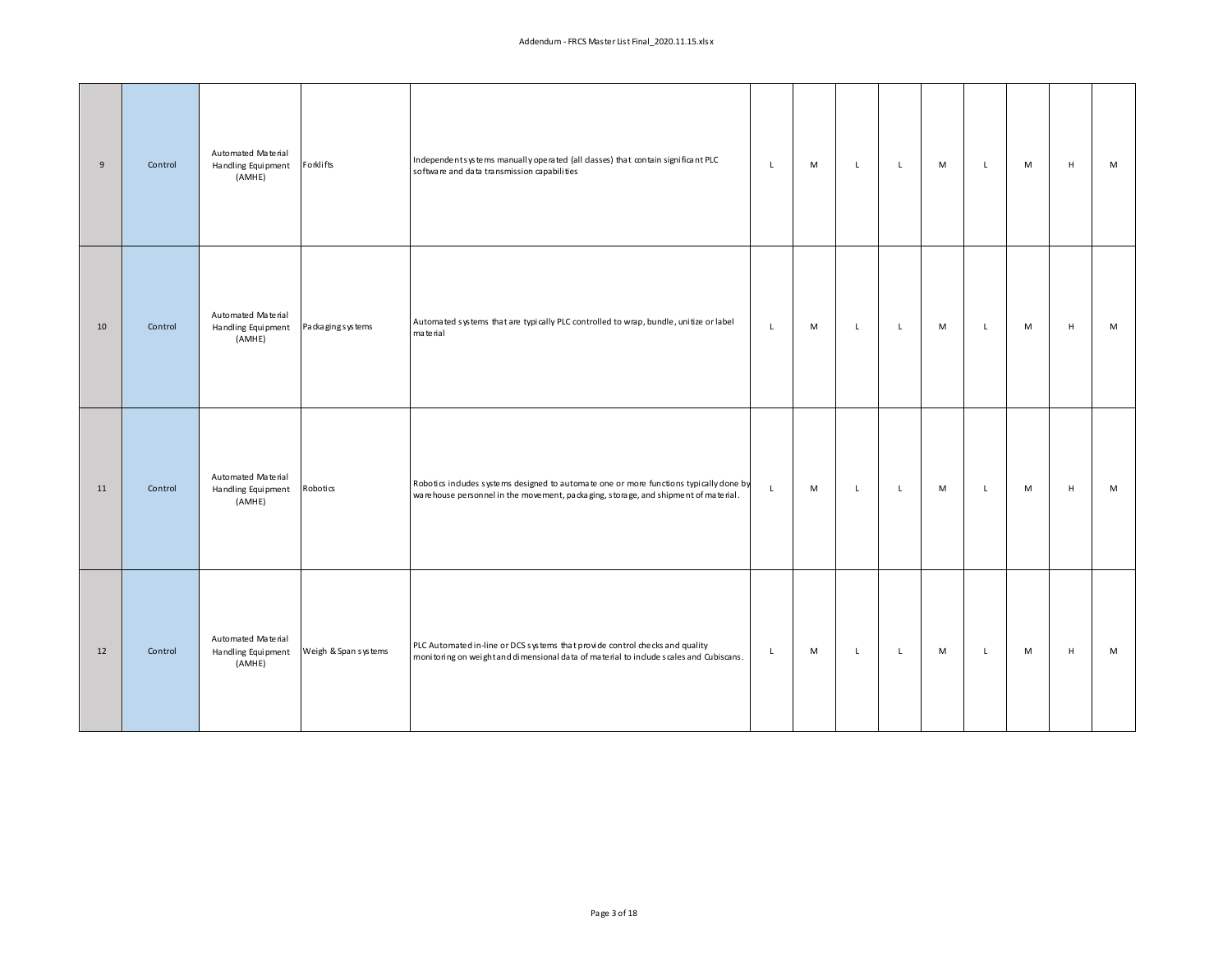| $9\,$ | Control | Automated Material<br>Handling Equipment<br>(AMHE) | Forklifts            | Independents ys tems manually operated (all dasses) that contain significant PLC<br>software and data transmission capabilities                                              | $\mathsf{L}$ | M | $\mathbf{L}$ | $\mathsf{L}$ | M | $\mathsf{L}$ | M | H           | M |
|-------|---------|----------------------------------------------------|----------------------|------------------------------------------------------------------------------------------------------------------------------------------------------------------------------|--------------|---|--------------|--------------|---|--------------|---|-------------|---|
| 10    | Control | Automated Material<br>Handling Equipment<br>(AMHE) | Packaging systems    | Automated systems that are typically PLC controlled to wrap, bundle, unitize or label<br>material                                                                            | $\mathsf L$  | M | $\mathsf{L}$ | L            | M | $\mathsf{L}$ | M | H           | M |
| 11    | Control | Automated Material<br>Handling Equipment<br>(AMHE) | Robotics             | Robotics indudes systems designed to automate one or more functions typically done by<br>ware house personnel in the movement, packaging, storage, and shipment of material. | $\mathsf{L}$ | M | $\mathbf{L}$ | L            | M | $\mathsf{L}$ | M | H           | M |
| 12    | Control | Automated Material<br>Handling Equipment<br>(AMHE) | Weigh & Span systems | PLC Automated in-line or DCS systems that provide control checks and quality<br>monitoring on weight and dimensional data of material to include scales and Cubiscans.       | $\mathsf{L}$ | M | $\mathbf{L}$ | $\mathsf{L}$ | M | $\mathsf{L}$ | M | $\mathsf H$ | M |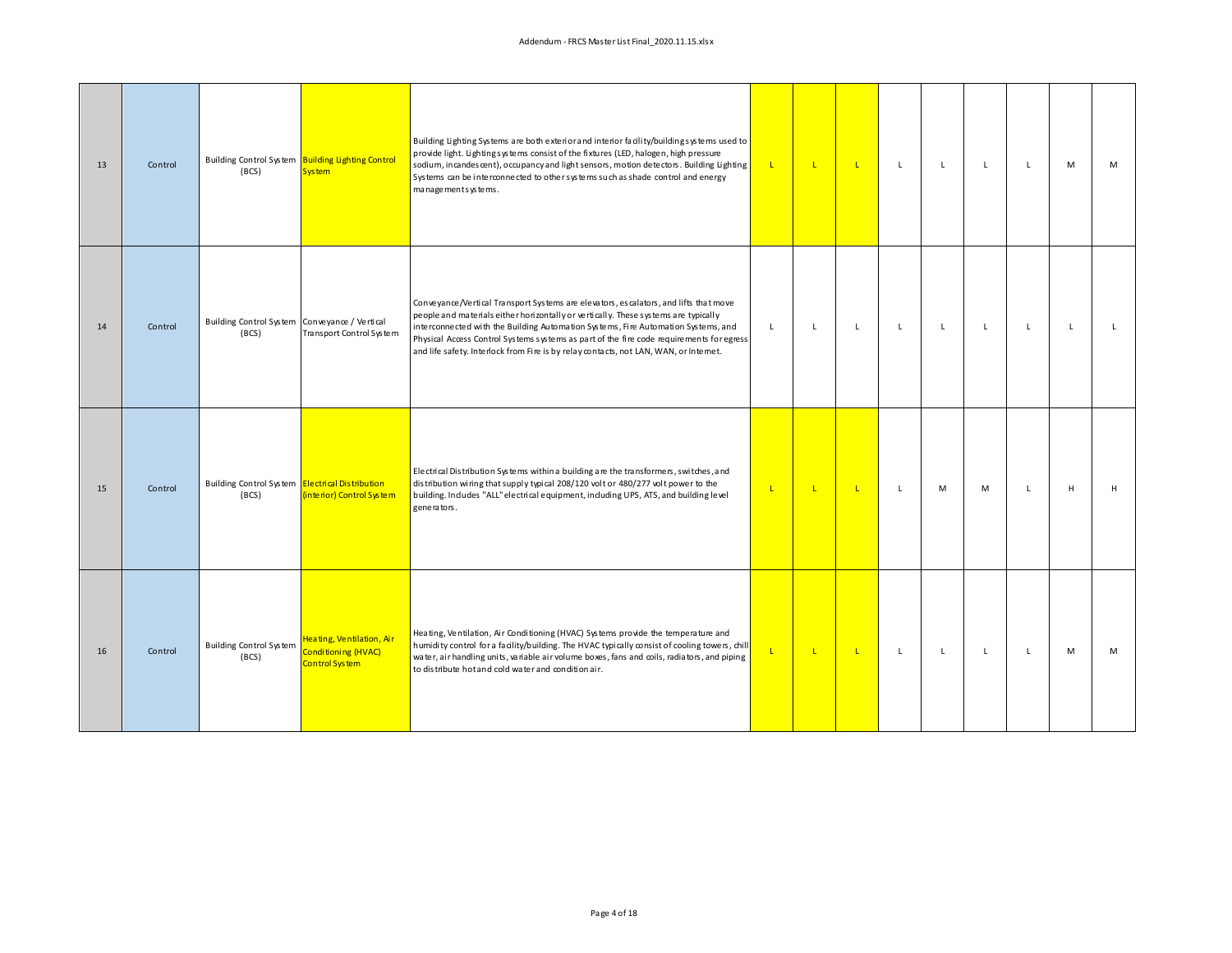| 13 | Control | (BCS)                                                    | Building Control System Building Lighting Control<br><b>System</b> | Building Lighting Systems are both exterior and interior facility/building systems used to<br>provide light. Lightingsystems consist of the fixtures (LED, halogen, high pressure<br>sodium, incandes cent), occupancy and light sensors, motion detectors. Building Lighting<br>Systems can be interconnected to other systems such as shade control and energy<br>managements ys tems.                                                              | $\mathbf{L}$   | $\mathsf{L}$ | $\mathbf{L}$ | L | $\mathbf{L}$ | $\mathsf{L}$ | $\mathsf{L}$ | M            | M            |
|----|---------|----------------------------------------------------------|--------------------------------------------------------------------|-------------------------------------------------------------------------------------------------------------------------------------------------------------------------------------------------------------------------------------------------------------------------------------------------------------------------------------------------------------------------------------------------------------------------------------------------------|----------------|--------------|--------------|---|--------------|--------------|--------------|--------------|--------------|
| 14 | Control | Building Control System Conveyance / Vertical<br>(BCS)   | Transport Control System                                           | Conveyance/Vertical Transport Systems are elevators, escalators, and lifts that move<br>people and materials either horizontally or vertically. These systems are typically<br>interconnected with the Building Automation Systems, Fire Automation Systems, and<br>Physical Access Control Systems systems as part of the fire code requirements for egress<br>and life safety. Interlock from Fire is by relay contacts, not LAN, WAN, or Internet. | $\mathsf{L}$   | $\mathsf{L}$ | $\mathsf{L}$ | L | $\mathsf{L}$ | $\mathsf{L}$ | $\mathsf{L}$ | $\mathbf{L}$ | $\mathbf{L}$ |
| 15 | Control | Building Control System Electrical Distribution<br>(BCS) | (interior) Control System                                          | Electrical Distribution Systems within a building are the transformers, switches, and<br>distribution wiring that supply typical 208/120 volt or 480/277 volt power to the<br>building. Indudes "ALL" electrical equipment, induding UPS, ATS, and building level<br>generators.                                                                                                                                                                      | $\mathbf{L}$   | $\mathbf{L}$ | $\mathbf{L}$ | L | M            | M            | L            | H            | H            |
| 16 | Control | <b>Building Control System</b><br>(BCS)                  | Heating, Ventilation, Air<br>Conditioning (HVAC)<br>Control System | Heating, Ventilation, Air Conditioning (HVAC) Systems provide the temperature and<br>humidity control for a facility/building. The HVAC typically consist of cooling towers, chill<br>water, air handling units, variable air volume boxes, fans and coils, radiators, and piping<br>to distribute hot and cold water and condition air.                                                                                                              | $\mathsf{L}^+$ | $\mathbf{L}$ | $\mathbf{L}$ | L | $\mathsf{L}$ | $\mathsf{L}$ | L.           | M            | M            |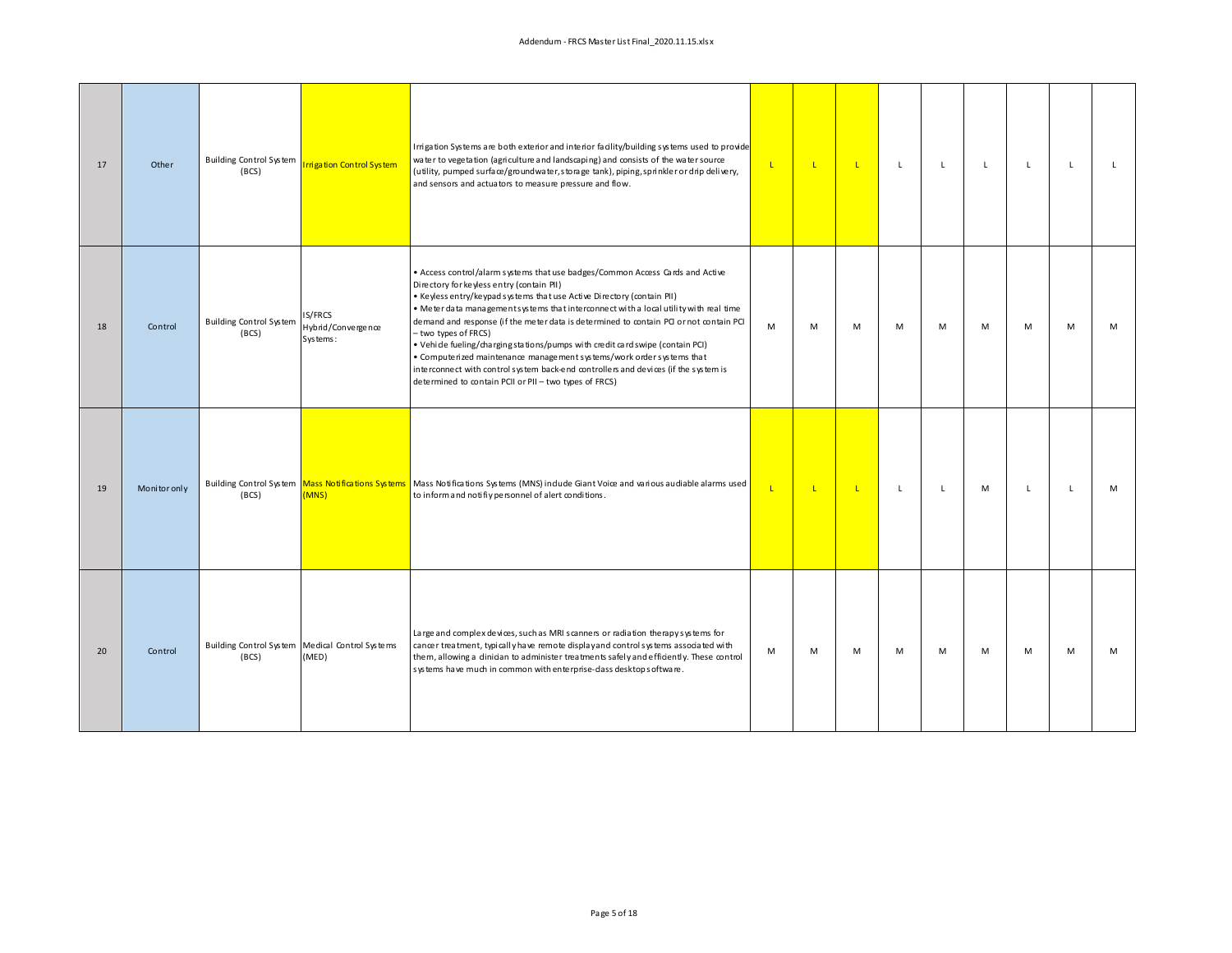| 17 | Other        | <b>Building Control System</b><br>(BCS) | rrigation Control System                                 | Irrigation Systems are both exterior and interior facility/building systems used to provide<br>water to vegetation (agriculture and landscaping) and consists of the water source<br>(utility, pumped surface/groundwater, storage tank), piping, sprinkler or drip delivery,<br>and sensors and actuators to measure pressure and flow.                                                                                                                                                                                                                                                                                                                                                                                   | $\mathbf{L}$ | $\mathsf{L}$ | $\mathbf{L}$ | L            | L.           | L. | L            | L            | L. |
|----|--------------|-----------------------------------------|----------------------------------------------------------|----------------------------------------------------------------------------------------------------------------------------------------------------------------------------------------------------------------------------------------------------------------------------------------------------------------------------------------------------------------------------------------------------------------------------------------------------------------------------------------------------------------------------------------------------------------------------------------------------------------------------------------------------------------------------------------------------------------------------|--------------|--------------|--------------|--------------|--------------|----|--------------|--------------|----|
| 18 | Control      | <b>Building Control System</b><br>(BCS) | IS/FRCS<br>Hybrid/Convergence<br>Systems:                | . Access control/alarm systems that use badges/Common Access Cards and Active<br>Directory for keyless entry (contain PII)<br>. Keyless entry/keypad systems that use Active Directory (contain PII)<br>. Meter data managementsystems that interconnect with a local utility with real time<br>demand and response (if the meter data is determined to contain PCI or not contain PCI<br>- two types of FRCS)<br>• Vehide fueling/charging stations/pumps with credit card swipe (contain PCI)<br>• Compute rized maintenance management systems/work order systems that<br>interconnect with control system back-end controllers and devices (if the system is<br>determined to contain PCII or PII - two types of FRCS) | M            | M            | M            | M            | M            | M  | M            | M            | M  |
| 19 | Monitor only | (BCS)                                   | (MNS)                                                    | Building Control System Mass Notifications Systems Mass Notifications Systems (MNS) indude Giant Voice and various audiable alarms used<br>to inform and notifiy personnel of alert conditions.                                                                                                                                                                                                                                                                                                                                                                                                                                                                                                                            | $\mathbf{L}$ | $\mathbf{L}$ | $\mathbf{L}$ | $\mathsf{L}$ | $\mathsf{L}$ | M  | $\mathsf{L}$ | $\mathsf{L}$ | M  |
| 20 | Control      | (BCS)                                   | Building Control System Medical Control Systems<br>(MED) | Large and complex devices, such as MRI scanners or radiation therapy systems for<br>cancer treatment, typically have remote displayand control systems associated with<br>them, allowing a dinician to administer treatments safely and efficiently. These control<br>systems have much in common with enterprise-dass desktop software.                                                                                                                                                                                                                                                                                                                                                                                   | M            | M            | M            | M            | M            | M  | M            | M            | M  |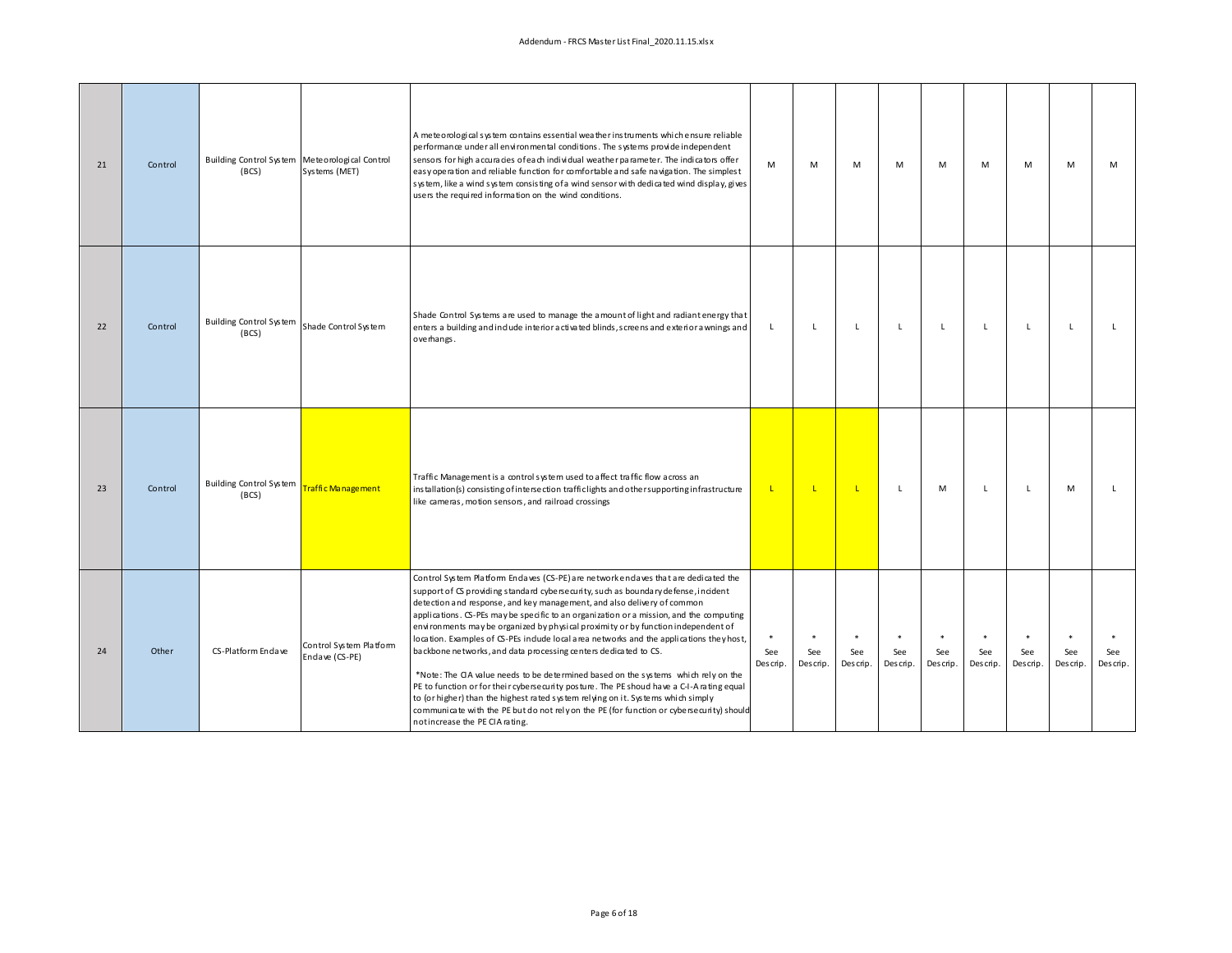| 21 | Control | Building Control System Meteorological Control<br>(BCS) | Systems (MET)                             | A meteorological system contains essential weather instruments which ensure reliable<br>performance under all environmental conditions. The systems provide independent<br>sensors for high a ccuracies of each individual weather parameter. The indicators offer<br>easy operation and reliable function for comfortable and safe navigation. The simplest<br>system, like a wind system consisting of a wind sensor with dedicated wind display, gives<br>users the required information on the wind conditions.                                                                                                                                                                                                                                                                                                                                                                                                                                                                                      | М               | М                         | М                         | М                         | М                         | M                         | M               | M               | M               |
|----|---------|---------------------------------------------------------|-------------------------------------------|----------------------------------------------------------------------------------------------------------------------------------------------------------------------------------------------------------------------------------------------------------------------------------------------------------------------------------------------------------------------------------------------------------------------------------------------------------------------------------------------------------------------------------------------------------------------------------------------------------------------------------------------------------------------------------------------------------------------------------------------------------------------------------------------------------------------------------------------------------------------------------------------------------------------------------------------------------------------------------------------------------|-----------------|---------------------------|---------------------------|---------------------------|---------------------------|---------------------------|-----------------|-----------------|-----------------|
| 22 | Control | <b>Building Control System</b><br>(BCS)                 | Shade Control System                      | Shade Control Systems are used to manage the amount of light and radiant energy that<br>enters a building and indude interior activated blinds, screens and exterior a wnings and<br>overhangs.                                                                                                                                                                                                                                                                                                                                                                                                                                                                                                                                                                                                                                                                                                                                                                                                          | L               | L                         | L                         | L                         | L                         | L                         | L.              | L               | L.              |
| 23 | Control | <b>Building Control System</b><br>(BCS)                 | Traffic Management                        | Traffic Management is a control system used to affect traffic flow across an<br>installation(s) consisting of intersection traffic lights and other supporting infrastructure<br>like cameras, motion sensors, and railroad crossings                                                                                                                                                                                                                                                                                                                                                                                                                                                                                                                                                                                                                                                                                                                                                                    | <b>L</b>        | -1                        | <b>L</b>                  | L                         | м                         | L.                        | L.              | M               | L.              |
| 24 | Other   | CS-Platform Endave                                      | Control System Platform<br>Endave (CS-PE) | Control System Platform Endaves (CS-PE) are network endaves that are dedicated the<br>support of CS providing standard cybersecurity, such as boundary defense, incident<br>detection and response, and key management, and also delivery of common<br>applications. CS-PEs may be specific to an organization or a mission, and the computing<br>environments may be organized by physical proximity or by function independent of<br>location. Examples of CS-PEs include local area networks and the applications they host,<br>backbone networks, and data processing centers dedicated to CS.<br>*Note: The CIA value needs to be determined based on the systems which rely on the<br>PE to function or for their cyberse curity posture. The PE shoud have a C-I-A rating equal<br>to (or higher) than the highest rated system relying on it. Systems which simply<br>communicate with the PE but do not rely on the PE (for function or cybersecurity) should<br>notincrease the PE CIA rating. | See<br>Descrip. | $\ast$<br>See<br>Descrip. | $\ast$<br>See<br>Descrip. | $\ast$<br>See<br>Descrip. | $\ast$<br>See<br>Descrip. | $\ast$<br>See<br>Descrip. | See<br>Descrip. | See<br>Descrip. | See<br>Descrip. |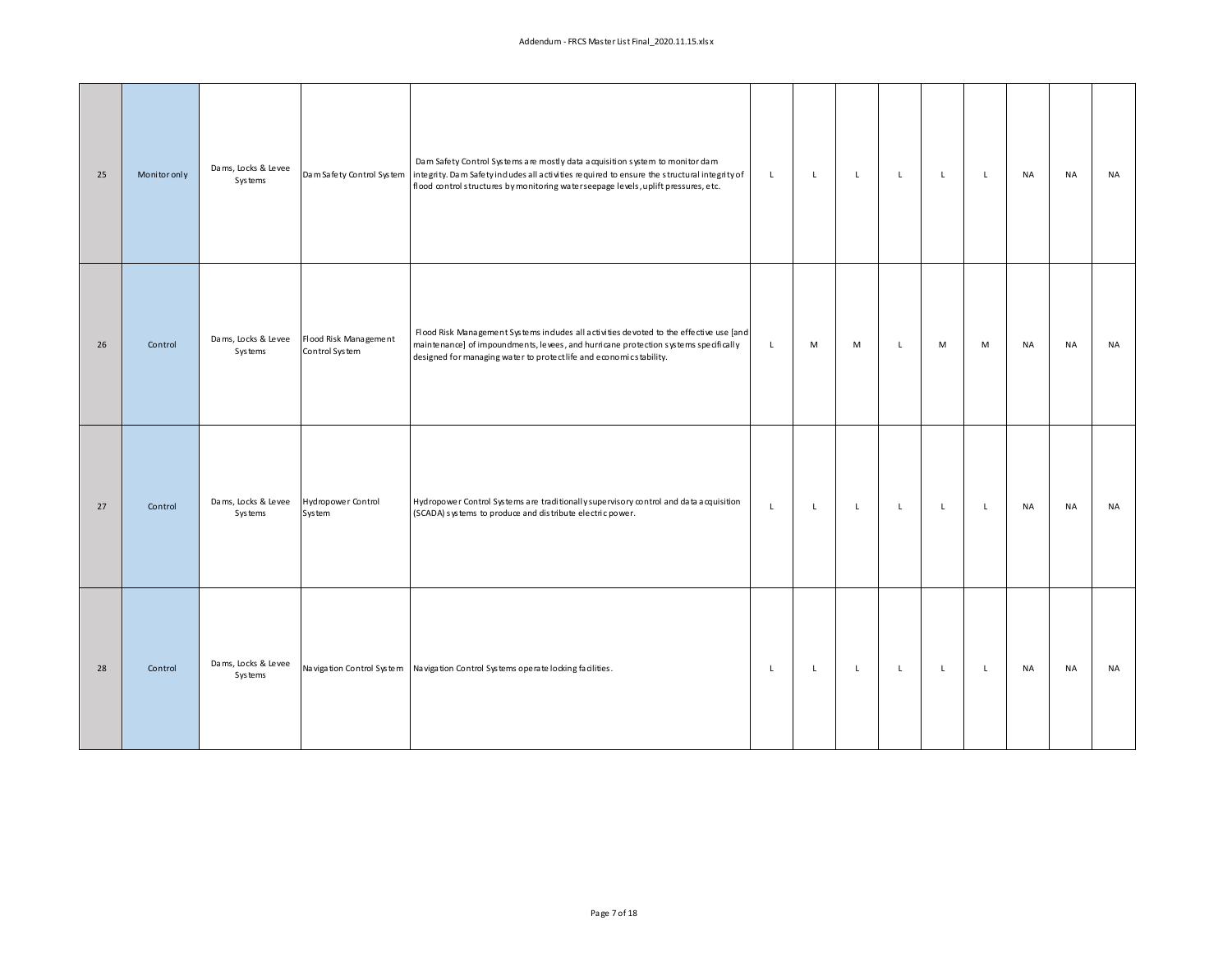| 25 | Monitor only | Dams, Locks & Levee<br>Systems        |                                         | Dam Safety Control Systems are mostly data acquisition system to monitor dam<br>Dam Safety Control System integrity. Dam Safety indudes all activities required to ensure the structural integrity of<br>flood control structures by monitoring water seepage levels, uplift pressures, etc. | $\mathsf{L}$ | $\mathsf L$ | $\mathsf{L}^-$ | $\mathsf L$  | $\mathsf L$ | $\mathsf L$  | <b>NA</b> | <b>NA</b> | NA |
|----|--------------|---------------------------------------|-----------------------------------------|----------------------------------------------------------------------------------------------------------------------------------------------------------------------------------------------------------------------------------------------------------------------------------------------|--------------|-------------|----------------|--------------|-------------|--------------|-----------|-----------|----|
| 26 | Control      | Dams, Locks & Levee<br><b>Systems</b> | Flood Risk Management<br>Control System | Flood Risk Management Systems indudes all activities devoted to the effective use [and<br>maintenance] of impoundments, levees, and hurricane protection systems specifically<br>designed for managing water to protectlife and economicstability.                                           | $\mathsf L$  | M           | M              | $\mathsf{L}$ | M           | M            | <b>NA</b> | <b>NA</b> | NA |
| 27 | Control      | Dams, Locks & Levee<br><b>Systems</b> | Hydropower Control<br>System            | Hydropower Control Systems are traditionally supervisory control and data acquisition<br>(SCADA) systems to produce and distribute electric power.                                                                                                                                           | $\mathsf L$  | L           | L.             | $\mathsf{L}$ | L           | $\mathsf{L}$ | NA        | NA        | NA |
| 28 | Control      | Dams, Locks & Levee<br>Systems        |                                         | Navigation Control System Navigation Control Systems operate locking facilities.                                                                                                                                                                                                             | $\mathsf L$  | $\mathsf L$ | $\mathsf L$    | $\mathsf{L}$ | $\mathsf L$ | $\mathsf L$  | <b>NA</b> | <b>NA</b> | NA |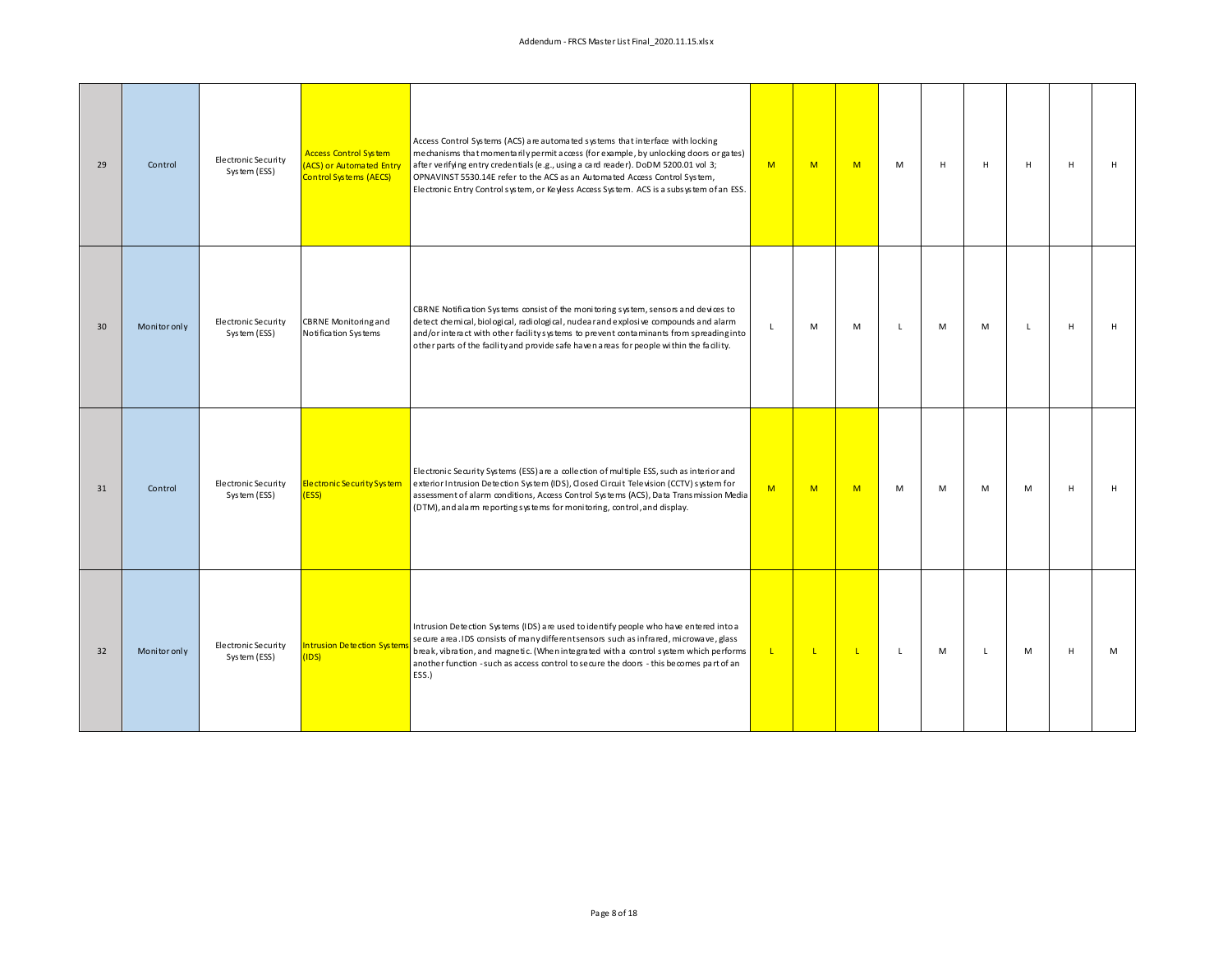| 29 | Control      | Electronic Security<br>System (ESS) | <b>Access Control System</b><br>ACS) or Automated Entry<br>Control Systems (AECS) | Access Control Systems (ACS) are automated systems that interface with locking<br>mechanisms that momentarily permit access (for example, by unlocking doors or gates)<br>after verifying entry credentials (e.g., using a card reader). DoDM 5200.01 vol 3;<br>OPNAVINST 5530.14E refer to the ACS as an Automated Access Control System,<br>Electronic Entry Control system, or Keyless Access System. ACS is a subsystem of an ESS. | M            | M            | M            | M            | H | H            | н | H | H |
|----|--------------|-------------------------------------|-----------------------------------------------------------------------------------|----------------------------------------------------------------------------------------------------------------------------------------------------------------------------------------------------------------------------------------------------------------------------------------------------------------------------------------------------------------------------------------------------------------------------------------|--------------|--------------|--------------|--------------|---|--------------|---|---|---|
| 30 | Monitor only | Electronic Security<br>System (ESS) | <b>CBRNE Monitoring and</b><br>Notification Systems                               | CBRNE Notification Systems consist of the monitoring system, sensors and devices to<br>detect chemical, biological, radiological, nuclear and explosive compounds and alarm<br>and/or interact with other facility systems to prevent contaminants from spreading into<br>other parts of the facility and provide safe haven areas for people within the facility.                                                                     | L            | M            | M            | L            | M | M            | L | H | H |
| 31 | Control      | Electronic Security<br>System (ESS) | Electronic Security System<br>(ESS)                                               | Electronic Security Systems (ESS) are a collection of multiple ESS, such as interior and<br>exterior Intrusion Detection System (IDS), Closed Circuit Television (CCTV) system for<br>assessment of alarm conditions, Access Control Systems (ACS), Data Transmission Media<br>(DTM), and alarm reporting systems for monitoring, control, and display.                                                                                | M            | M            | M            | M            | M | M            | M | H | H |
| 32 | Monitor only | Electronic Security<br>System (ESS) | <b>Intrusion Detection Systems</b><br>(IDS)                                       | Intrusion Detection Systems (IDS) are used to identify people who have entered into a<br>secure area. IDS consists of many different sensors such as infrared, microwave, glass<br>break, vibration, and magnetic. (When integrated with a control system which performs<br>another function - such as access control to secure the doors - this becomes part of an<br>ESS.)                                                           | $\mathbf{L}$ | $\mathbf{L}$ | $\mathbf{L}$ | $\mathsf{L}$ | M | $\mathsf{L}$ | M | H | M |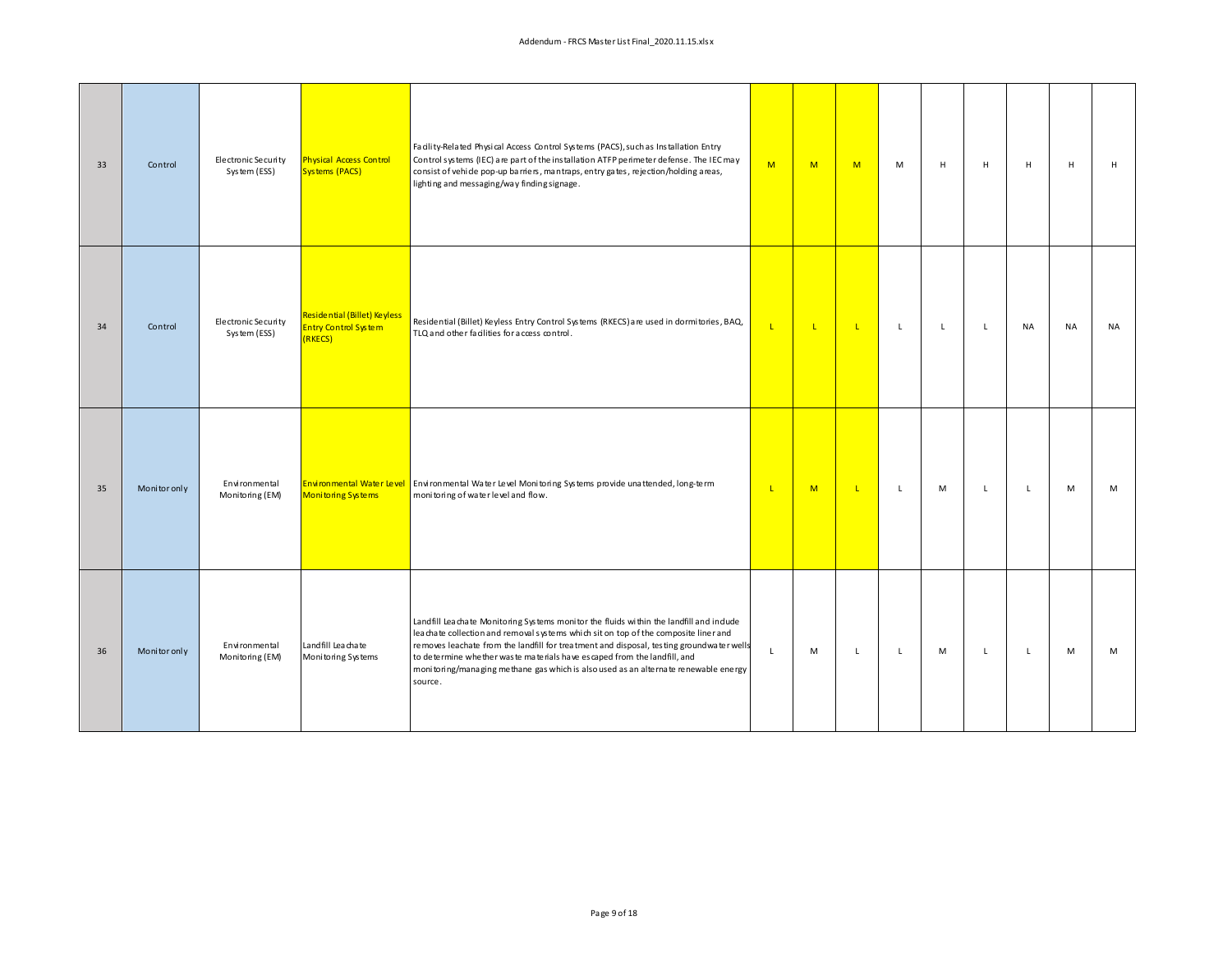| 33 | Control      | Electronic Security<br>System (ESS) | <b>Physical Access Control</b><br><b>Systems (PACS)</b>                | Facility-Related Physical Access Control Systems (PACS), such as Installation Entry<br>Control systems (IEC) are part of the installation ATFP perimeter defense. The IEC may<br>consist of vehide pop-up barriers, mantraps, entry gates, rejection/holding areas,<br>lighting and messaging/way finding signage.                                                                                                                                        | M            | M            | M            | M              | $\mathsf H$  | H            | H            | H         | н         |
|----|--------------|-------------------------------------|------------------------------------------------------------------------|-----------------------------------------------------------------------------------------------------------------------------------------------------------------------------------------------------------------------------------------------------------------------------------------------------------------------------------------------------------------------------------------------------------------------------------------------------------|--------------|--------------|--------------|----------------|--------------|--------------|--------------|-----------|-----------|
| 34 | Control      | Electronic Security<br>System (ESS) | Residential (Billet) Keyless<br><b>Entry Control System</b><br>(RKECS) | Residential (Billet) Keyless Entry Control Systems (RKECS) are used in dormitories, BAQ,<br>TLQ and other facilities for access control.                                                                                                                                                                                                                                                                                                                  | $\mathsf{L}$ | $\mathbf{L}$ | $\mathbf{L}$ | $\mathsf{L}^-$ | $\mathsf{L}$ | $\mathsf{L}$ | <b>NA</b>    | <b>NA</b> | <b>NA</b> |
| 35 | Monitor only | Environmental<br>Monitoring (EM)    | <b>Monitoring Systems</b>                                              | Environmental Water Level Environmental Water Level Monitoring Systems provide unattended, long-term<br>monitoring of water level and flow.                                                                                                                                                                                                                                                                                                               | $\mathbf{L}$ | M            | $\mathbf{L}$ | $\mathsf{L}$   | M            | $\mathsf{L}$ | $\mathsf{L}$ | M         | M         |
| 36 | Monitor only | Environmental<br>Monitoring (EM)    | Landfill Leachate<br>Monitoring Systems                                | Landfill Leachate Monitoring Systems monitor the fluids within the landfill and include<br>leachate collection and removal systems which sit on top of the composite liner and<br>removes leachate from the landfill for treatment and disposal, testing ground water wells<br>to determine whether waste materials have escaped from the landfill, and<br>monitoring/managing methane gas which is also used as an alternate renewable energy<br>source. | $\mathsf{L}$ | M            | $\mathsf{L}$ | L              | M            | L            | L            | M         | M         |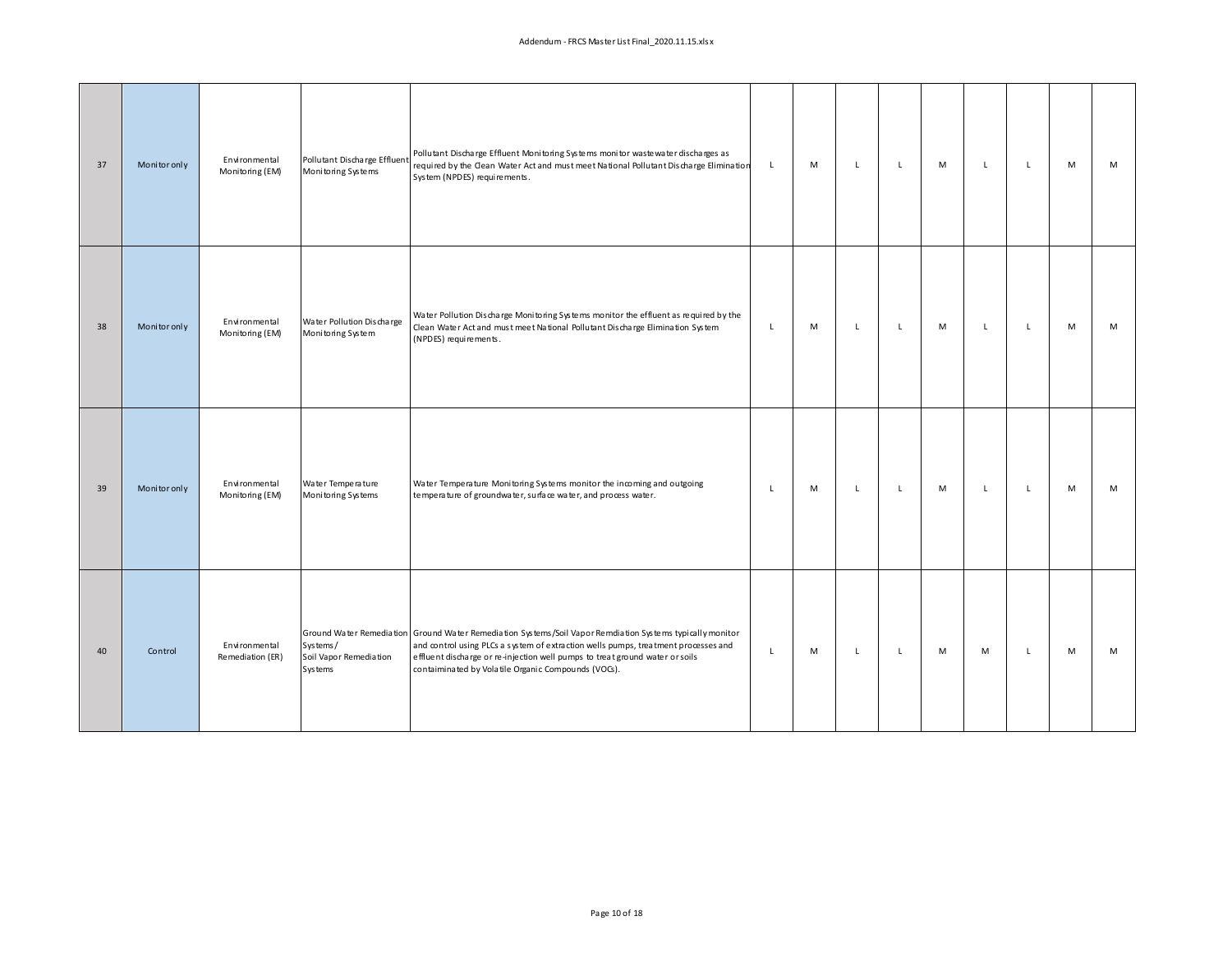| 37 | Monitor only | Environmental<br>Monitoring (EM)  | Pollutant Discharge Effluent<br>Monitoring Systems   | Pollutant Discharge Effluent Monitoring Systems monitor wastewater discharges as<br>required by the Clean Water Act and must meet National Pollutant Discharge Elimination<br>System (NPDES) requirements.                                                                                                                             | L.           | M | $\mathsf{L}$ | L | M | L            | $\mathsf{L}$ | M | M |
|----|--------------|-----------------------------------|------------------------------------------------------|----------------------------------------------------------------------------------------------------------------------------------------------------------------------------------------------------------------------------------------------------------------------------------------------------------------------------------------|--------------|---|--------------|---|---|--------------|--------------|---|---|
| 38 | Monitor only | Environmental<br>Monitoring (EM)  | Water Pollution Discharge<br>Monitoring System       | Water Pollution Discharge Monitoring Systems monitor the effluent as required by the<br>Clean Water Act and must meet National Pollutant Discharge Elimination System<br>(NPDES) requirements.                                                                                                                                         | $\mathsf{L}$ | M | $\mathsf{L}$ | L | M | $\mathsf{L}$ | $\mathsf{L}$ | M | M |
| 39 | Monitor only | Environmental<br>Monitoring (EM)  | Water Temperature<br>Monitoring Systems              | Water Temperature Monitoring Systems monitor the incoming and outgoing<br>temperature of groundwater, surface water, and process water.                                                                                                                                                                                                | $\mathsf{L}$ | M | $\mathsf{L}$ | L | M | $\mathsf{L}$ | $\mathsf{L}$ | M | M |
| 40 | Control      | Environmental<br>Remediation (ER) | Systems/<br>Soil Vapor Remediation<br><b>Systems</b> | Ground Water Remediation Ground Water Remediation Systems /Soil Vapor Remdiation Systems typically monitor<br>and control using PLCs a system of extraction wells pumps, treatment processes and<br>effluent discharge or re-injection well pumps to treat ground water or soils<br>contaiminated by Volatile Organic Compounds (VOG). | $\mathsf{L}$ | M | $\mathbf{L}$ | L | M | M            | $\mathsf{L}$ | M | M |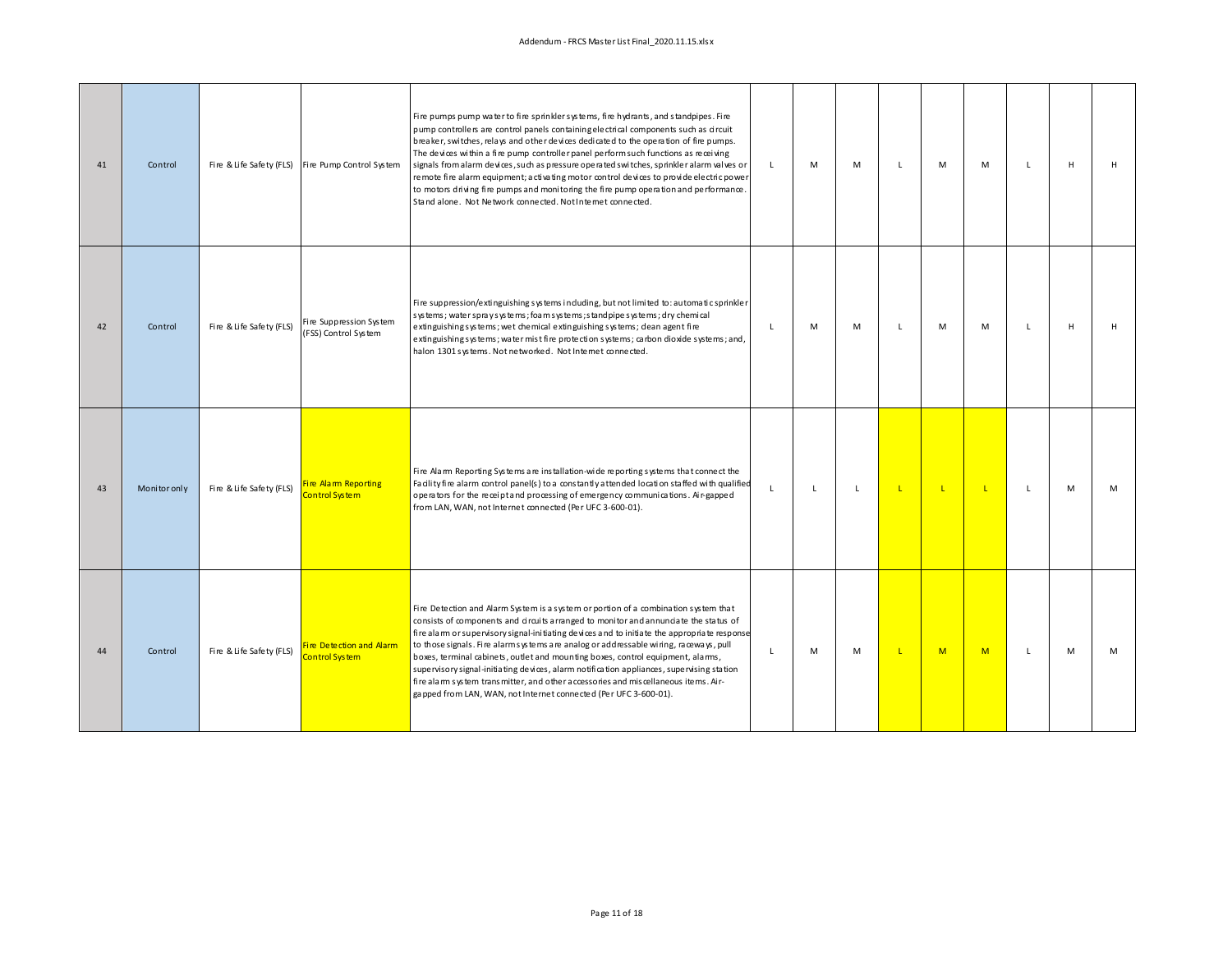## Addendum ‐ FRCS Master List Final\_2020.11.15.xlsx

| 41 | Control      | Fire & Life Safety (FLS) | Fire Pump Control System                          | Fire pumps pump water to fire sprinkler systems, fire hydrants, and standpipes. Fire<br>pump controllers are control panels containing electrical components such as circuit<br>breaker, switches, relays and other devices dedicated to the operation of fire pumps.<br>The devices within a fire pump controller panel perform such functions as receiving<br>signals from alarm devices, such as pressure operated switches, sprinkler alarm valves or<br>remote fire alarm equipment; activating motor control devices to provide electric power<br>to motors driving fire pumps and monitoring the fire pump operation and performance.<br>Stand alone. Not Network connected. Not Internet connected.  | $\mathbf{L}$ | M | M            | $\mathbf{I}$ | M            | M  | $\mathbf{L}$ | H | H |
|----|--------------|--------------------------|---------------------------------------------------|--------------------------------------------------------------------------------------------------------------------------------------------------------------------------------------------------------------------------------------------------------------------------------------------------------------------------------------------------------------------------------------------------------------------------------------------------------------------------------------------------------------------------------------------------------------------------------------------------------------------------------------------------------------------------------------------------------------|--------------|---|--------------|--------------|--------------|----|--------------|---|---|
| 42 | Control      | Fire & Life Safety (FLS) | Fire Suppression System<br>(FSS) Control System   | Fire suppression/extinguishing systems induding, but not limited to: automatic sprinkler<br>systems; water spray systems; foam systems; standpipe systems; dry chemical<br>extinguishingsystems; wet chemical extinguishing systems; dean agent fire<br>extinguishingsystems; water mist fire protection systems; carbon dioxide systems; and,<br>halon 1301 systems. Not networked. Not Internet connected.                                                                                                                                                                                                                                                                                                 | п.           | M | M            | $\mathbf{I}$ | M            | M  | $\mathbf{L}$ | H | H |
| 43 | Monitor only | Fire & Life Safety (FLS) | Fire Alam Reporting<br>Control System             | Fire Alam Reporting Systems are installation-wide reporting systems that connect the<br>Facility fire alarm control panel(s) to a constantly attended location staffed with qualified<br>operators for the receipt and processing of emergency communications. Air-gapped<br>from LAN, WAN, not Internet connected (Per UFC 3-600-01).                                                                                                                                                                                                                                                                                                                                                                       | $\mathsf{L}$ | L | $\mathsf{L}$ | $\mathsf{L}$ | $\mathsf{L}$ | L. | L.           | M | M |
| 44 | Control      | Fire & Life Safety (FLS) | Fire Detection and Alarm<br><b>Control System</b> | Fire Detection and Alarm System is a system or portion of a combination system that<br>consists of components and circuits arranged to monitor and annunciate the status of<br>fire alarm or supervisory signal-initiating devices and to initiate the appropriate response<br>to those signals. Fire alarm systems are analog or addressable wiring, raceways, pull<br>boxes, terminal cabinets, outlet and mounting boxes, control equipment, alams,<br>supervisory signal-initiating devices, alarm notification appliances, supervising station<br>fire alam system transmitter, and other accessories and miscellaneous items. Air-<br>gapped from LAN, WAN, not Internet connected (Per UFC 3-600-01). | $\mathbf{L}$ | M | M            | L            | M            | M  | L            | M | M |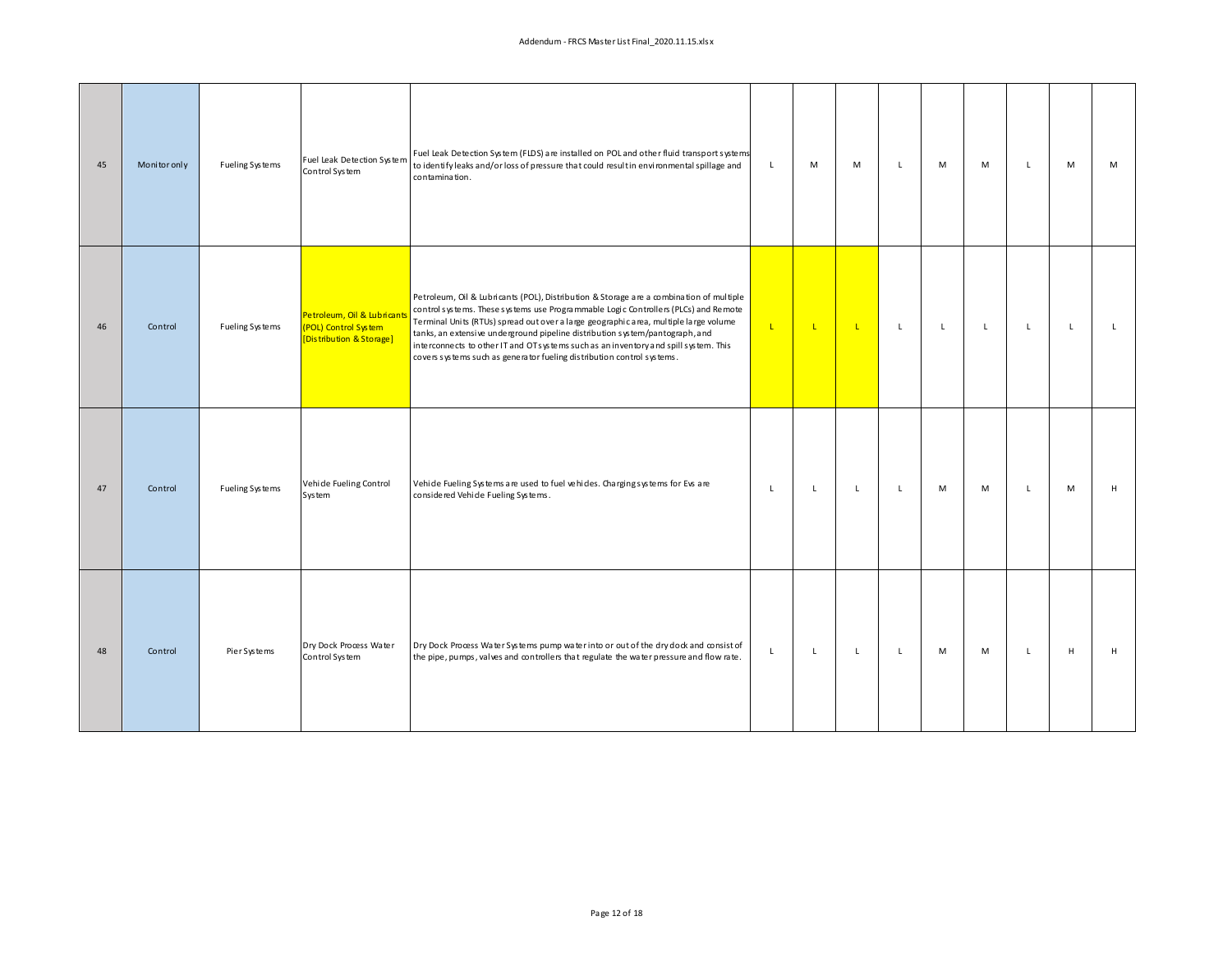| 45 | Monitor only | Fueling Systems | Fuel Leak Detection System<br>Control System                                    | Fuel Leak Detection System (FLDS) are installed on POL and other fluid transport systems<br>to identify leaks and/or loss of pressure that could resultin environmental spillage and<br>contamination.                                                                                                                                                                                                                                                                                                                   | L.           | M            | M            | L              | M            | M            | $\mathsf{L}$ | M            | M            |
|----|--------------|-----------------|---------------------------------------------------------------------------------|--------------------------------------------------------------------------------------------------------------------------------------------------------------------------------------------------------------------------------------------------------------------------------------------------------------------------------------------------------------------------------------------------------------------------------------------------------------------------------------------------------------------------|--------------|--------------|--------------|----------------|--------------|--------------|--------------|--------------|--------------|
| 46 | Control      | Fueling Systems | Petroleum, Oil & Lubricants<br>(POL) Control System<br>[Distribution & Storage] | Petroleum, Oil & Lubricants (POL), Distribution & Storage are a combination of multiple<br>control systems. These systems use Programmable Logic Controllers (PLCs) and Remote<br>Terminal Units (RTUs) spread out over a large geographic area, multiple large volume<br>tanks, an extensive underground pipeline distribution system/pantograph, and<br>interconnects to other IT and OTs ystems such as an inventory and spill system. This<br>covers systems such as generator fueling distribution control systems. | $\mathbf{L}$ | $\mathbf{L}$ | $\mathbf{L}$ | $\mathsf{L}^-$ | $\mathsf{L}$ | $\mathsf{L}$ | $\mathsf{L}$ | $\mathsf{L}$ | $\mathsf{L}$ |
| 47 | Control      | Fueling Systems | Vehide Fueling Control<br>System                                                | Vehide Fueling Systems are used to fuel vehides. Charging systems for Evs are<br>considered Vehide Fueling Systems.                                                                                                                                                                                                                                                                                                                                                                                                      | $\mathsf{L}$ | L            | $\mathsf{L}$ | $\mathsf{L}$   | M            | M            | $\mathsf{L}$ | M            | H            |
| 48 | Control      | Pier Systems    | Dry Dock Process Water<br>Control System                                        | Dry Dock Process Water Systems pump water into or out of the dry dock and consist of<br>the pipe, pumps, valves and controllers that regulate the water pressure and flow rate.                                                                                                                                                                                                                                                                                                                                          | L.           | L            | $\mathbf{L}$ | L              | M            | M            | L            | H            | H            |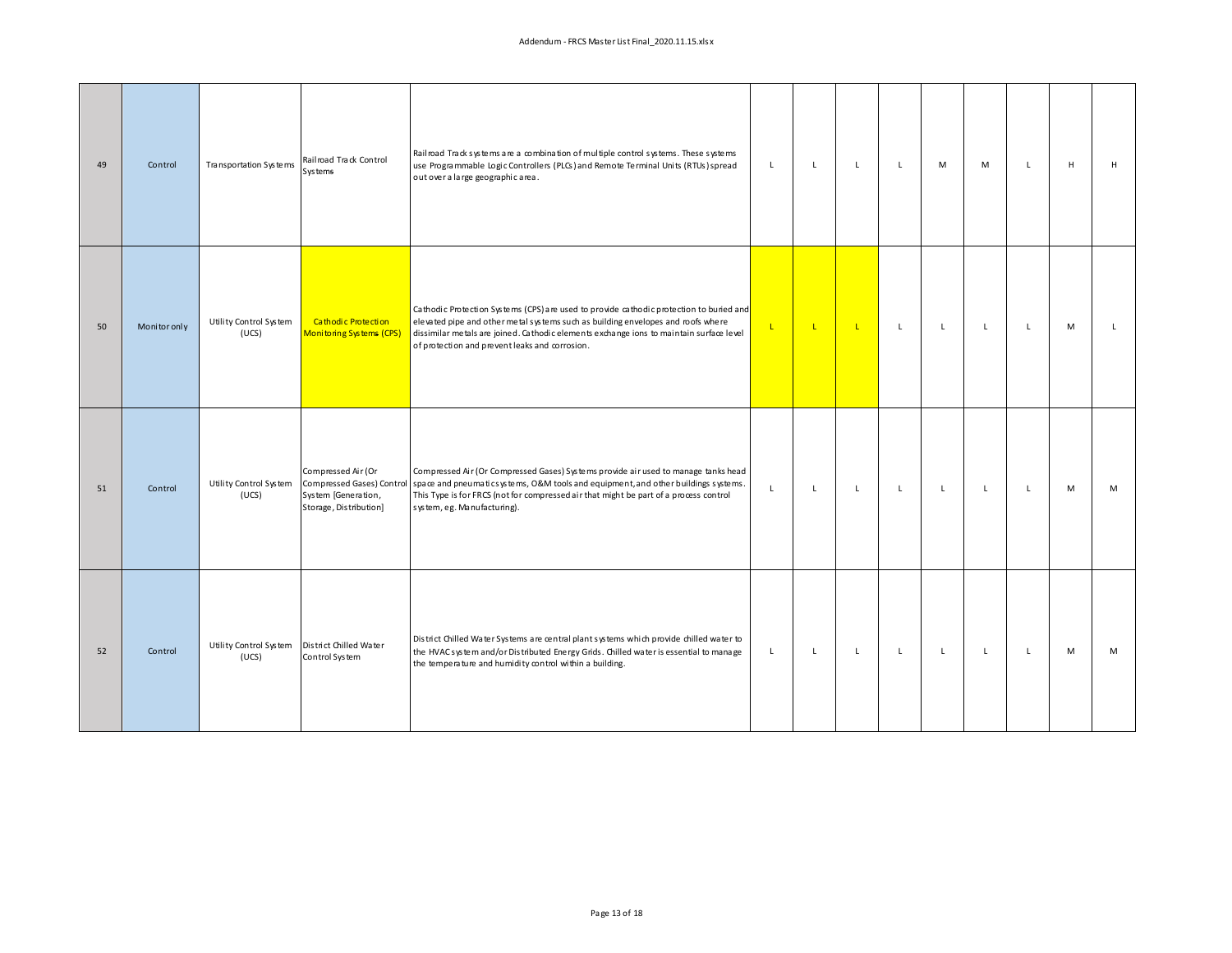| 49 | Control      | Transportation Systems          | Railroad Track Control<br>Systems                                                                | Railroad Track systems are a combination of multiple control systems. These systems<br>use Programmable Logic Controllers (PLCs) and Remote Terminal Units (RTUs) spread<br>out over a large geographic area.                                                                                                            | L            | L            | $\mathbf{L}$ | L           | M            | M            | L            | H | H |
|----|--------------|---------------------------------|--------------------------------------------------------------------------------------------------|--------------------------------------------------------------------------------------------------------------------------------------------------------------------------------------------------------------------------------------------------------------------------------------------------------------------------|--------------|--------------|--------------|-------------|--------------|--------------|--------------|---|---|
| 50 | Monitor only | Utility Control System<br>(UCS) | Cathodic Protection<br>Monitoring Systems (CPS)                                                  | Cathodic Protection Systems (CPS) are used to provide cathodic protection to buried and<br>elevated pipe and other metal systems such as building envelopes and roofs where<br>dissimilar metals are joined. Cathodic elements exchange ions to maintain surface level<br>of protection and prevent leaks and corrosion. | $\mathsf{L}$ | $\mathbf{L}$ | $\mathbf{L}$ | $\mathsf L$ | $\mathsf{L}$ | $\mathsf{L}$ | $\mathsf{L}$ | M | L |
| 51 | Control      | Utility Control System<br>(UCS) | Compressed Air (Or<br>Compressed Gases) Control<br>System [Generation,<br>Storage, Distribution] | Compressed Air (Or Compressed Gases) Systems provide air used to manage tanks head<br>space and pneumatics ystems, O&M tools and equipment, and other buildings systems.<br>This Type is for FRCS (not for compressed air that might be part of a process control<br>system, eg. Manufacturing).                         | $\mathsf{L}$ | L            | $\mathbf{L}$ | L           | $\mathsf{L}$ | $\mathsf{L}$ | $\mathsf{L}$ | M | M |
| 52 | Control      | Utility Control System<br>(UCS) | District Chilled Water<br>Control System                                                         | District Chilled Water Systems are central plant systems which provide chilled water to<br>the HVACsystem and/or Distributed Energy Grids. Chilled water is essential to manage<br>the temperature and humidity control within a building.                                                                               | $\mathsf{L}$ | L            | $\mathbf{L}$ | L           | $\mathbf{L}$ | $\mathsf{L}$ | $\mathsf{L}$ | M | M |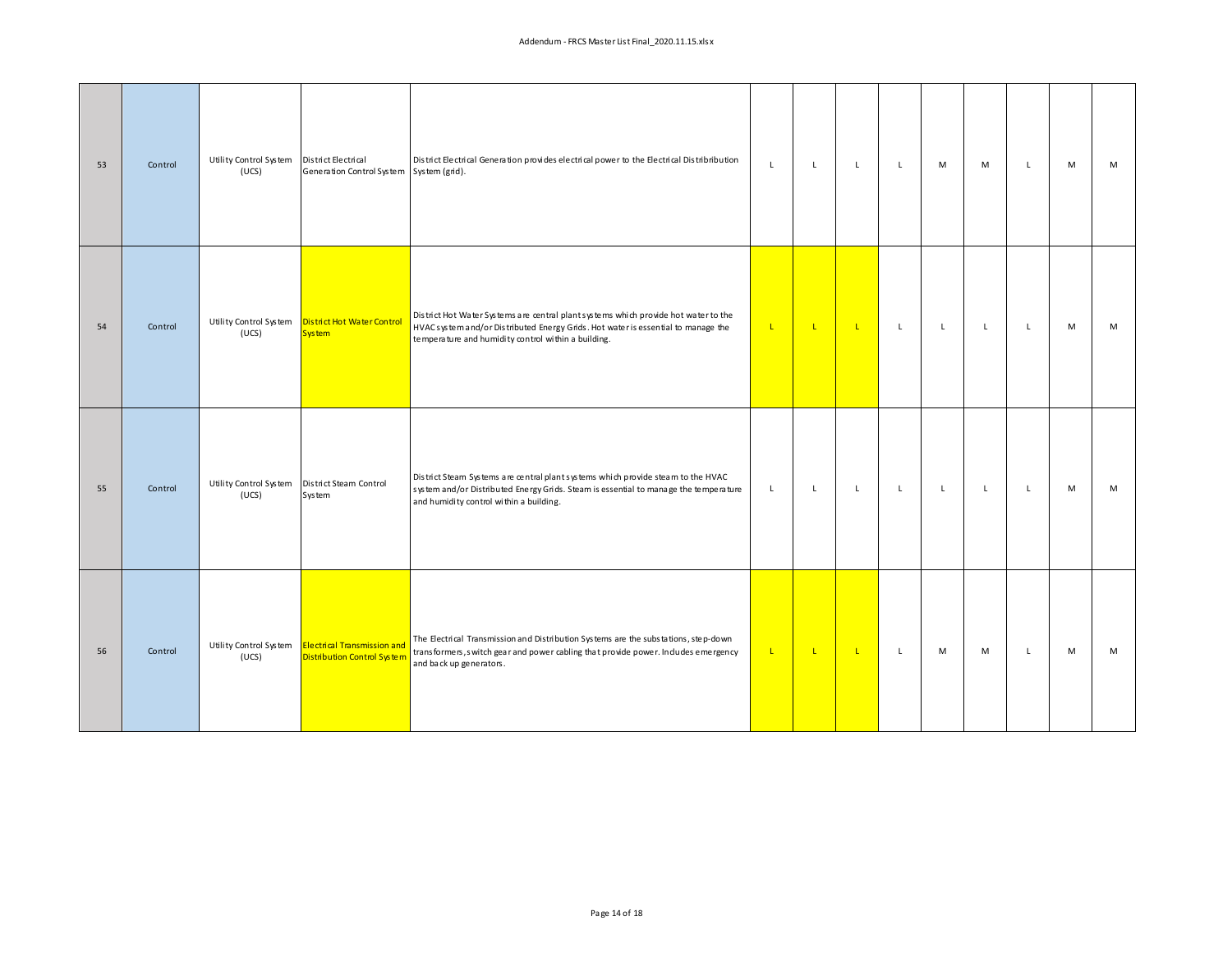| 53 | Control | Utility Control System<br>(UCS) | District Electrical<br>Generation Control System   System (grid). | District Electrical Generation provides electrical power to the Electrical Distribribution                                                                                                                                     | $\mathsf{L}$ | L            | $\mathbf{L}$ | $\mathsf{L}$   | M            | M            | L            | M | M |
|----|---------|---------------------------------|-------------------------------------------------------------------|--------------------------------------------------------------------------------------------------------------------------------------------------------------------------------------------------------------------------------|--------------|--------------|--------------|----------------|--------------|--------------|--------------|---|---|
| 54 | Control | Utility Control System<br>(UCS) | District Hot Water Control<br>System                              | District Hot Water Systems are central plantsystems which provide hot water to the<br>HVAC system and/or Distributed Energy Grids. Hot water is essential to manage the<br>temperature and humidity control within a building. | $\mathsf{L}$ | $\mathbf{L}$ | $\mathbf{L}$ | $\mathsf{L}^-$ | $\mathsf L$  | $\mathsf{L}$ | $\mathsf{L}$ | M | M |
| 55 | Control | Utility Control System<br>(UCS) | District Steam Control<br>System                                  | District Steam Systems are central plant systems which provide steam to the HVAC<br>system and/or Distributed Energy Grids. Steam is essential to manage the temperature<br>and humidity control within a building.            | $\mathsf{L}$ | L            | $\mathbf{L}$ | $\mathsf L$    | $\mathsf{L}$ | $\mathsf{L}$ | $\mathsf{L}$ | M | M |
| 56 | Control | Utility Control System<br>(UCS) | Electrical Transmission and<br>Distribution Control System        | The Electrical Transmission and Distribution Systems are the substations, step-down<br>transformers, switch gear and power cabling that provide power. Indudes emergency<br>and back up generators.                            | $\mathbf{L}$ | $\mathbf{L}$ | $\mathbf{L}$ | L              | M            | M            | $\mathsf{L}$ | M | M |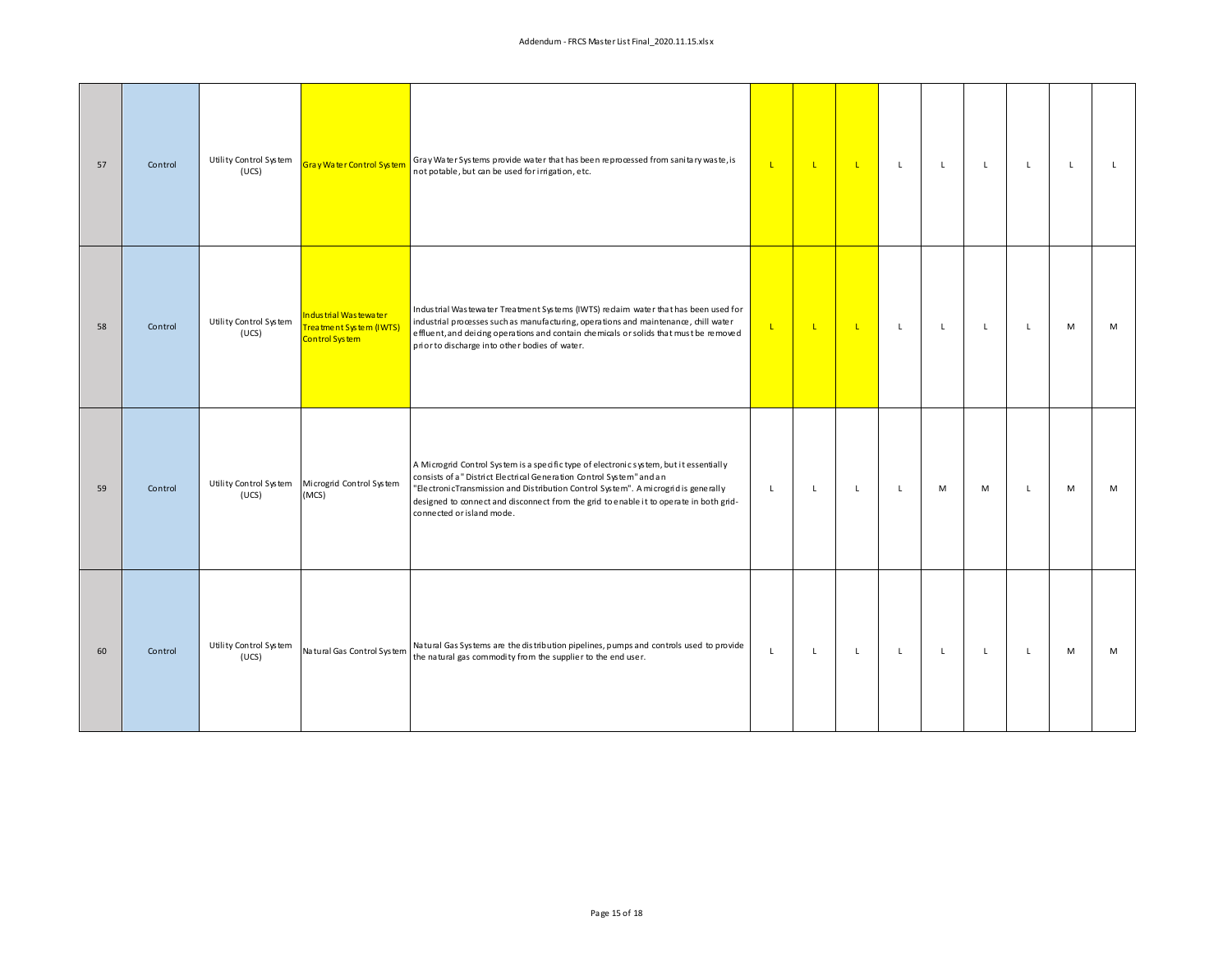| 57 | Control | Utility Control System<br>(UCS) | Gray Water Control System                                                 | Gray Water Systems provide water that has been reprocessed from sanitary waste, is<br>not potable, but can be used for irrigation, etc.                                                                                                                                                                                                                                     | $\mathbf{L}$ | $\mathsf{L}$ | $\mathbf{L}$ | $\mathsf{L}$ | $\mathsf{L}$ | L            | L.           | $\mathsf{L}$ | $\mathsf{L}$ |
|----|---------|---------------------------------|---------------------------------------------------------------------------|-----------------------------------------------------------------------------------------------------------------------------------------------------------------------------------------------------------------------------------------------------------------------------------------------------------------------------------------------------------------------------|--------------|--------------|--------------|--------------|--------------|--------------|--------------|--------------|--------------|
| 58 | Control | Utility Control System<br>(UCS) | Industrial Wastewater<br><b>Freatment System (IWTS)</b><br>Control System | Industrial Wastewater Treatment Systems (IWTS) redaim water that has been used for<br>industrial processes such as manufacturing, operations and maintenance, chill water<br>effluent, and dei cing operations and contain chemicals or solids that must be removed<br>prior to discharge into other bodies of water.                                                       | $\mathbf{L}$ | $\mathsf{L}$ | $\mathbf{L}$ | $\mathsf{L}$ | $\mathsf{L}$ | $\mathsf{L}$ | $\mathsf{L}$ | M            | M            |
| 59 | Control | Utility Control System<br>(UCS) | Microgrid Control System<br>(MCS)                                         | A Microgrid Control System is a specific type of electronic system, but it essentially<br>consists of a" District Electrical Generation Control System" and an<br>"ElectronicTransmission and Distribution Control System". A microgrid is generally<br>designed to connect and disconnect from the grid to enable it to operate in both grid-<br>connected or island mode. | $\mathsf L$  | $\mathsf{L}$ | $\mathsf{L}$ | $\mathsf{L}$ | M            | M            | $\mathsf{L}$ | M            | M            |
| 60 | Control | Utility Control System<br>(UCS) | Natural Gas Control System                                                | Natural Gas Systems are the distribution pipelines, pumps and controls used to provide<br>the natural gas commodity from the supplier to the end user.                                                                                                                                                                                                                      | $\mathsf L$  | $\mathsf L$  | $\mathsf{L}$ | $\mathsf{L}$ | $\mathsf{L}$ | $\mathsf{L}$ | L.           | M            | M            |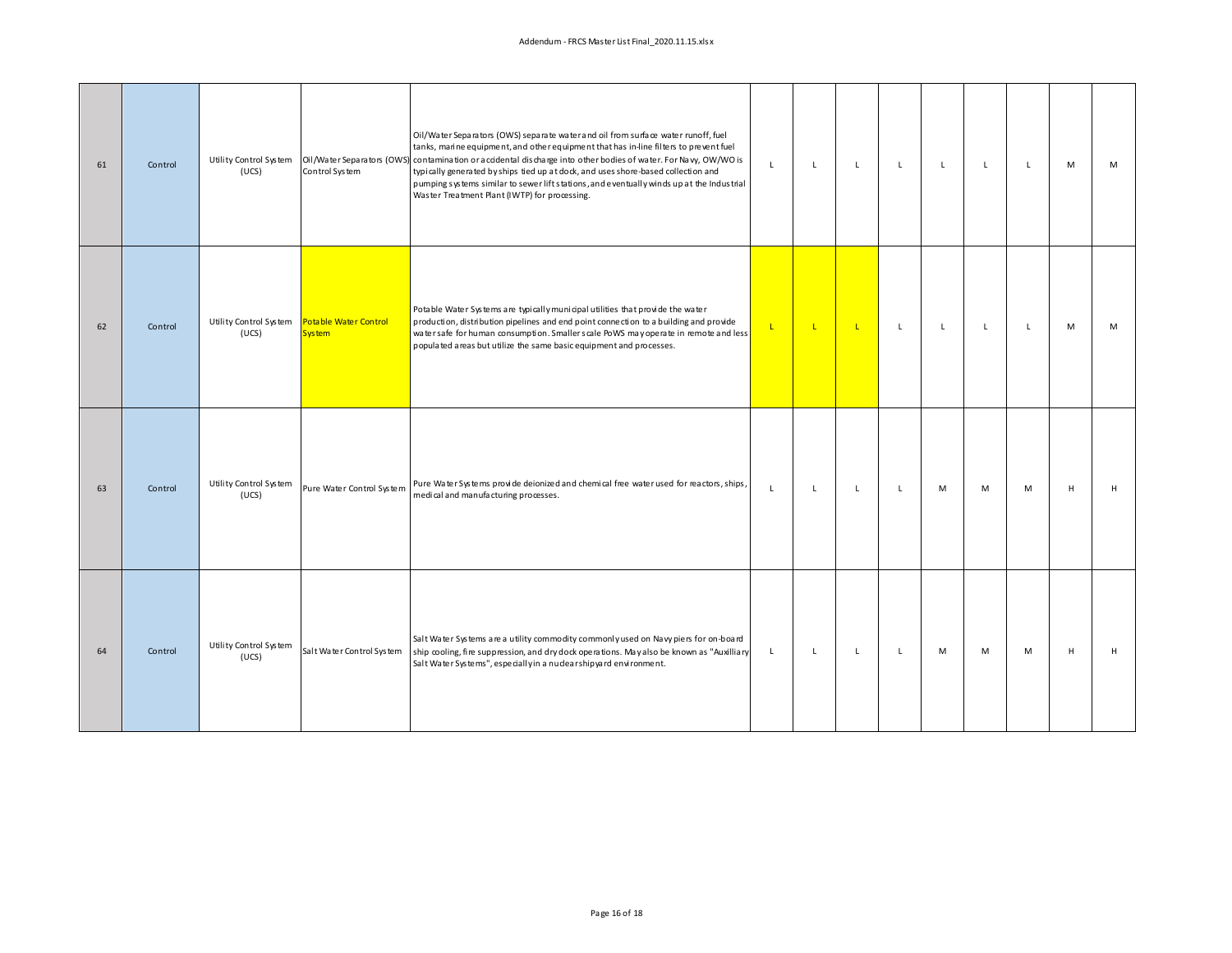## Addendum ‐ FRCS Master List Final\_2020.11.15.xlsx

| 61 | Control | Utility Control System<br>(UCS) | Control System                                | Oil/Water Separators (OWS) separate water and oil from surface water runoff, fuel<br>tanks, marine equipment, and other equipment that has in-line filters to prevent fuel<br>Oil /Water Separators (OWS) contamination or accidental discharge into other bodies of water. For Navy, OW/WO is<br>typically generated by ships tied up at dock, and uses shore-based collection and<br>pumping systems similar to sewer lift stations, and eventually winds up at the Industrial<br>Waster Treatment Plant (IWTP) for processing. | $\mathsf{L}$ | $\mathsf{L}$ | $\mathbf{L}$ | $\mathsf{L}$ | $\mathbf{L}$ | $\mathsf{L}$ | $\mathsf{L}$ | M | M |
|----|---------|---------------------------------|-----------------------------------------------|-----------------------------------------------------------------------------------------------------------------------------------------------------------------------------------------------------------------------------------------------------------------------------------------------------------------------------------------------------------------------------------------------------------------------------------------------------------------------------------------------------------------------------------|--------------|--------------|--------------|--------------|--------------|--------------|--------------|---|---|
| 62 | Control | Utility Control System<br>(UCS) | <b>Potable Water Control</b><br><b>System</b> | Potable Water Systems are typically municipal utilities that provide the water<br>production, distribution pipelines and end point connection to a building and provide<br>water safe for human consumption. Smaller scale PoWS may operate in remote and less<br>populated areas but utilize the same basic equipment and processes.                                                                                                                                                                                             | $\mathsf{L}$ | L.           | $\mathbf{L}$ | $\mathsf L$  | $\mathsf L$  | L            | L.           | M | M |
| 63 | Control | Utility Control System<br>(UCS) | Pure Water Control System                     | Pure Water Systems provide deionized and chemical free water used for reactors, ships,<br>medical and manufacturing processes.                                                                                                                                                                                                                                                                                                                                                                                                    | $\mathsf{L}$ | $\mathsf{L}$ | $\mathbf{L}$ | L.           | M            | M            | M            | H | H |
| 64 | Control | Utility Control System<br>(UCS) | Salt Water Control System                     | Salt Water Systems are a utility commodity commonly used on Navy piers for on-board<br>ship cooling, fire suppression, and dry dock operations. May also be known as "Auxilliary<br>Salt Water Systems", especially in a nuclear ship yard environment.                                                                                                                                                                                                                                                                           | $\mathsf{L}$ | $\mathsf{L}$ | $\mathbf{L}$ | $\mathsf L$  | M            | M            | M            | H | H |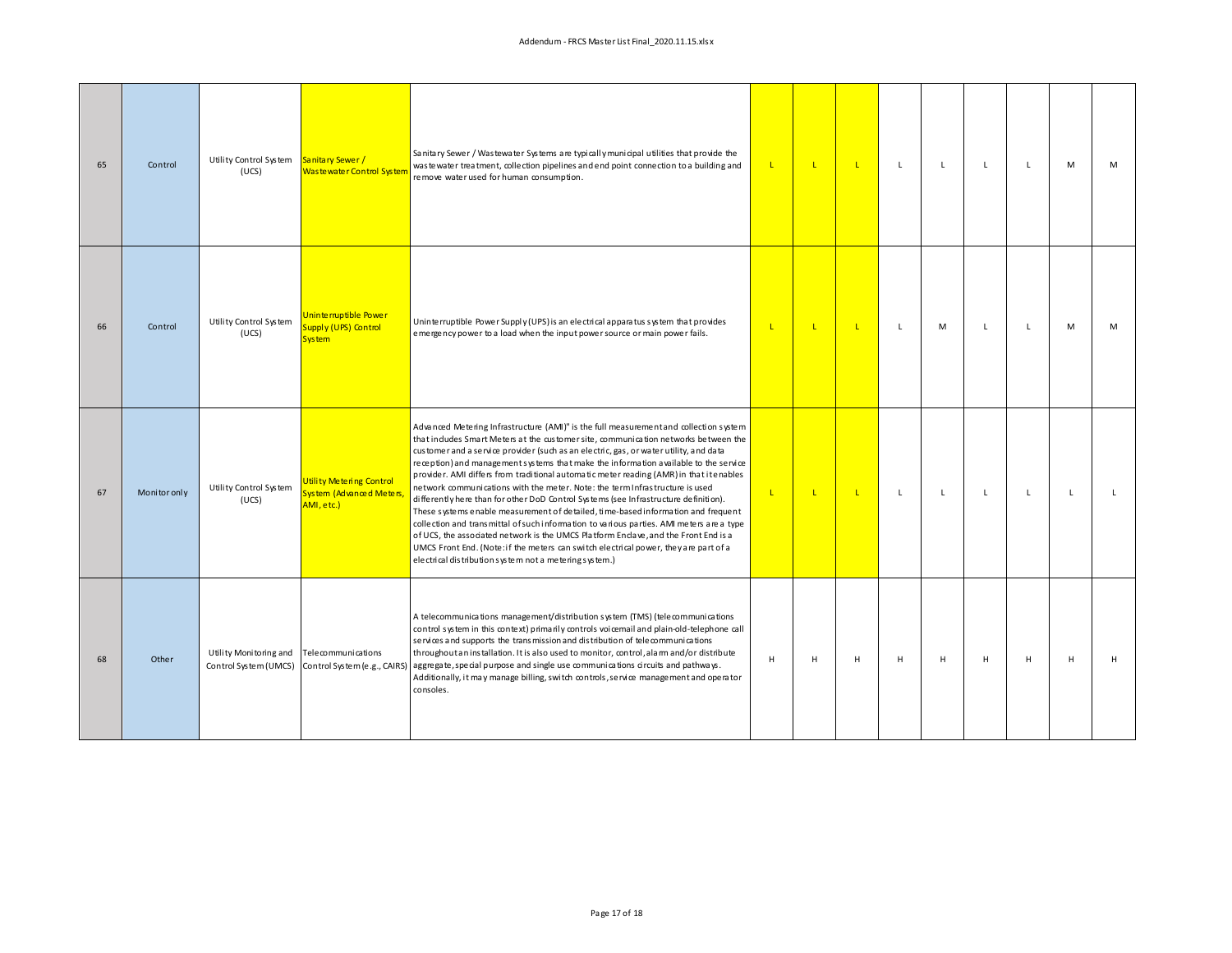| 65 | Control      | Utility Control System Sanitary Sewer /<br>(UCS) | Was te water Control System                                        | Sanitary Sewer / Wastewater Systems are typically municipal utilities that provide the<br>was tewater treatment, collection pipelines and end point connection to a building and<br>remove water used for human consumption.                                                                                                                                                                                                                                                                                                                                                                                                                                                                                                                                                                                                                                                                                                                                                                                                                            | L.           | τ            | $\mathbf{L}$ | L            | L. | L.           | L  | M            | М            |
|----|--------------|--------------------------------------------------|--------------------------------------------------------------------|---------------------------------------------------------------------------------------------------------------------------------------------------------------------------------------------------------------------------------------------------------------------------------------------------------------------------------------------------------------------------------------------------------------------------------------------------------------------------------------------------------------------------------------------------------------------------------------------------------------------------------------------------------------------------------------------------------------------------------------------------------------------------------------------------------------------------------------------------------------------------------------------------------------------------------------------------------------------------------------------------------------------------------------------------------|--------------|--------------|--------------|--------------|----|--------------|----|--------------|--------------|
| 66 | Control      | Utility Control System<br>(UCS)                  | Uninterruptible Power<br>Supply (UPS) Control<br><b>System</b>     | Uninterruptible Power Supply (UPS) is an electrical apparatus system that provides<br>emergency power to a load when the input power source or main power fails.                                                                                                                                                                                                                                                                                                                                                                                                                                                                                                                                                                                                                                                                                                                                                                                                                                                                                        | L.           | $\mathbf{L}$ | $\mathbf{L}$ | $\mathsf{L}$ | M  | L.           | L. | M            | M            |
| 67 | Monitor only | Utility Control System<br>(UCS)                  | Utility Metering Control<br>System (Advanced Meters,<br>AMI, etc.) | Advanced Metering Infrastructure (AMI)" is the full measurement and collection system<br>that indudes Smart Meters at the customer site, communication networks between the<br>customer and a service provider (such as an electric, gas, or water utility, and data<br>reception) and management systems that make the information available to the service<br>provider. AMI differs from traditional automatic meter reading (AMR) in that itenables<br>network communications with the meter. Note: the term Infrastructure is used<br>differently here than for other DoD Control Systems (see Infrastructure definition).<br>These systems enable measurement of detailed, time-based information and frequent<br>collection and transmittal of such information to various parties. AMI meters are a type<br>of UCS, the associated network is the UMCS Platform Endave, and the Front End is a<br>UMCS Front End. (Note: if the meters can switch electrical power, they are part of a<br>electrical distribution system not a metering system.) | $\mathbf{L}$ | $\mathbf{L}$ | $\mathbf{L}$ | $\mathsf{L}$ | L. | $\mathsf{L}$ | L  | $\mathsf{L}$ | $\mathsf{L}$ |
| 68 | Other        | Utility Monitoring and<br>Control System (UMCS)  | Tele communi cations<br>Control System (e.g., CAIRS)               | A telecommunications management/distribution system (TMS) (telecommunications<br>control system in this context) primarily controls voicemail and plain-old-telephone call<br>services and supports the transmission and distribution of telecommunications<br>throughout an installation. It is also used to monitor, control, alam and/or distribute<br>aggregate, special purpose and single use communications circuits and pathways.<br>Additionally, it may manage billing, switch controls, service management and operator<br>consoles.                                                                                                                                                                                                                                                                                                                                                                                                                                                                                                         | н            | H            | H            | н            | H  | H            | H  | H            | H            |